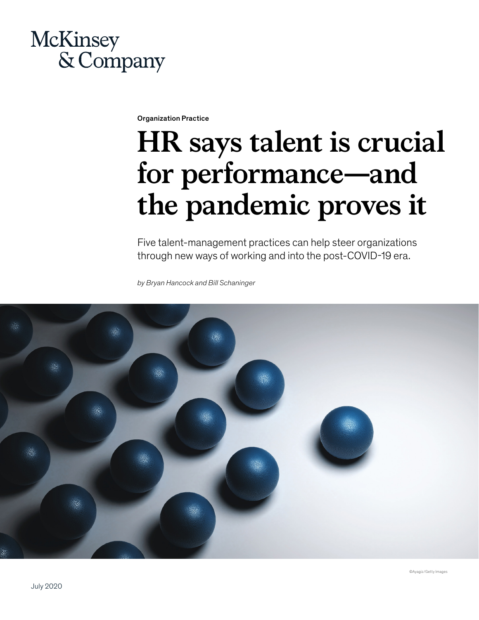## McKinsey & Company

Organization Practice

# **HR says talent is crucial for performance—and the pandemic proves it**

Five talent-management practices can help steer organizations through new ways of working and into the post-COVID-19 era.

*by Bryan Hancock and Bill Schaninger*

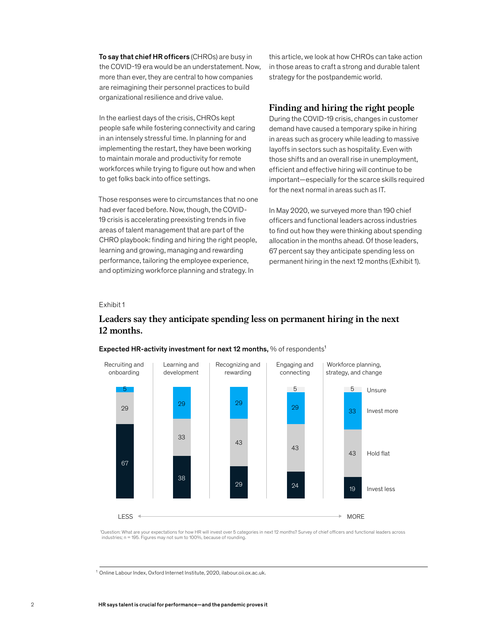To say that chief HR officers (CHROs) are busy in the COVID-19 era would be an understatement. Now, more than ever, they are central to how companies are reimagining their personnel practices to build organizational resilience and drive value.

In the earliest days of the crisis, CHROs kept people safe while fostering connectivity and caring in an intensely stressful time. In planning for and implementing the restart, they have been working to maintain morale and productivity for remote workforces while trying to figure out how and when to get folks back into office settings.

Those responses were to circumstances that no one had ever faced before. Now, though, the COVID-19 crisis is accelerating preexisting trends in five areas of talent management that are part of the CHRO playbook: finding and hiring the right people, learning and growing, managing and rewarding performance, tailoring the employee experience, and optimizing workforce planning and strategy. In

this article, we look at how CHROs can take action in those areas to craft a strong and durable talent strategy for the postpandemic world.

### **Finding and hiring the right people**

During the COVID-19 crisis, changes in customer demand have caused a temporary spike in hiring in areas such as grocery while leading to massive layoffs in sectors such as hospitality. Even with those shifts and an overall rise in unemployment, efficient and effective hiring will continue to be important—especially for the scarce skills required for the next normal in areas such as IT.

In May 2020, we surveyed more than 190 chief officers and functional leaders across industries to find out how they were thinking about spending allocation in the months ahead. Of those leaders, 67 percent say they anticipate spending less on permanent hiring in the next 12 months (Exhibit 1).

### Exhibit 1  $E$ xhibit  $\frac{1}{2}$

### Leaders say they anticipate spending less on permanent hiring in the next 12 **Leaders say they anticipate spending less on permanent hiring in the next**  months. **12 months.**



### Expected HR-activity investment for next 12 months,  $%$  of respondents<sup>1</sup>

1 Question: What are your expectations for how HR will invest over 5 categories in next 12 months? Survey of chief officers and functional leaders across industries; n = 195. Figures may not sum to 100%, because of rounding.

<sup>1</sup> Online Labour Index, Oxford Internet Institute, 2020, ilabour.oii.ox.ac.uk.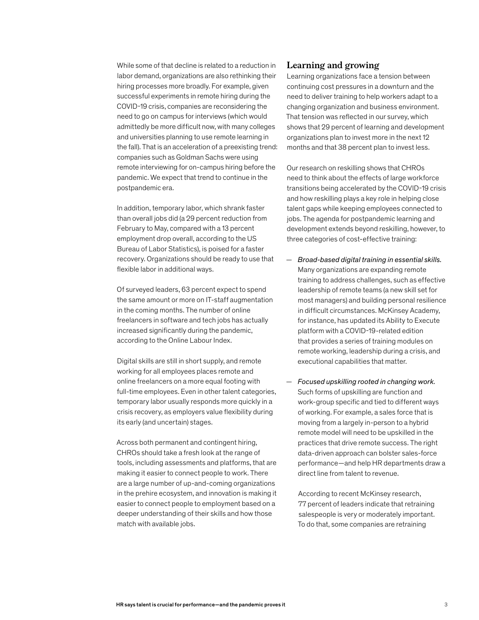While some of that decline is related to a reduction in labor demand, organizations are also rethinking their hiring processes more broadly. For example, given successful experiments in remote hiring during the COVID-19 crisis, companies are reconsidering the need to go on campus for interviews (which would admittedly be more difficult now, with many colleges and universities planning to use remote learning in the fall). That is an acceleration of a preexisting trend: companies such as Goldman Sachs were using remote interviewing for on-campus hiring before the pandemic. We expect that trend to continue in the postpandemic era.

In addition, temporary labor, which shrank faster than overall jobs did (a 29 percent reduction from February to May, compared with a 13 percent employment drop overall, according to the US Bureau of Labor Statistics), is poised for a faster recovery. Organizations should be ready to use that flexible labor in additional ways.

Of surveyed leaders, 63 percent expect to spend the same amount or more on IT-staff augmentation in the coming months. The number of online freelancers in software and tech jobs has actually increased significantly during the pandemic, according to the Online Labour Index.

Digital skills are still in short supply, and remote working for all employees places remote and online freelancers on a more equal footing with full-time employees. Even in other talent categories, temporary labor usually responds more quickly in a crisis recovery, as employers value flexibility during its early (and uncertain) stages.

Across both permanent and contingent hiring, CHROs should take a fresh look at the range of tools, including assessments and platforms, that are making it easier to connect people to work. There are a large number of up-and-coming organizations in the prehire ecosystem, and innovation is making it easier to connect people to employment based on a deeper understanding of their skills and how those match with available jobs.

### **Learning and growing**

Learning organizations face a tension between continuing cost pressures in a downturn and the need to deliver training to help workers adapt to a changing organization and business environment. That tension was reflected in our survey, which shows that 29 percent of learning and development organizations plan to invest more in the next 12 months and that 38 percent plan to invest less.

Our research on reskilling shows that CHROs need to think about the effects of large workforce transitions being accelerated by the COVID-19 crisis and how reskilling plays a key role in helping close talent gaps while keeping employees connected to jobs. The agenda for postpandemic learning and development extends beyond reskilling, however, to three categories of cost-effective training:

- *Broad-based digital training in essential skills.*  Many organizations are expanding remote training to address challenges, such as effective leadership of remote teams (a new skill set for most managers) and building personal resilience in difficult circumstances. McKinsey Academy, for instance, has updated its Ability to Execute platform with a COVID-19-related edition that provides a series of training modules on remote working, leadership during a crisis, and executional capabilities that matter.
- *Focused upskilling rooted in changing work.*  Such forms of upskilling are function and work-group specific and tied to different ways of working. For example, a sales force that is moving from a largely in-person to a hybrid remote model will need to be upskilled in the practices that drive remote success. The right data-driven approach can bolster sales-force performance—and help HR departments draw a direct line from talent to revenue.

According to recent McKinsey research, 77 percent of leaders indicate that retraining salespeople is very or moderately important. To do that, some companies are retraining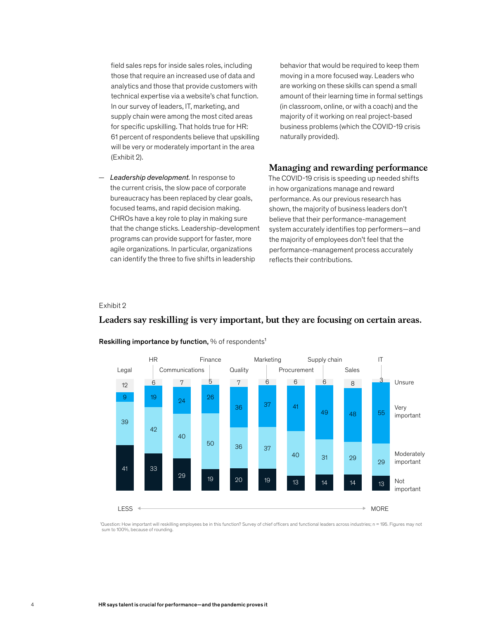field sales reps for inside sales roles, including those that require an increased use of data and analytics and those that provide customers with technical expertise via a website's chat function. In our survey of leaders, IT, marketing, and supply chain were among the most cited areas for specific upskilling. That holds true for HR: 61 percent of respondents believe that upskilling will be very or moderately important in the area (Exhibit 2).

— *Leadership development.* In response to the current crisis, the slow pace of corporate bureaucracy has been replaced by clear goals, focused teams, and rapid decision making. CHROs have a key role to play in making sure that the change sticks. Leadership-development programs can provide support for faster, more agile organizations. In particular, organizations can identify the three to five shifts in leadership

behavior that would be required to keep them moving in a more focused way. Leaders who are working on these skills can spend a small amount of their learning time in formal settings (in classroom, online, or with a coach) and the majority of it working on real project-based business problems (which the COVID-19 crisis naturally provided).

### **Managing and rewarding performance**

The COVID-19 crisis is speeding up needed shifts in how organizations manage and reward performance. As our previous research has shown, the majority of business leaders don't believe that their performance-management system accurately identifies top performers—and the majority of employees don't feel that the performance-management process accurately reflects their contributions.

### Exhibit 2



### Leaders say reskilling is very important, but they are focusing on certain areas. **Leaders say reskilling is very important, but they are focusing on certain areas.**

Reskilling importance by function, % of respondents<sup>1</sup>

1 Question: How important will reskilling employees be in this function? Survey of chief officers and functional leaders across industries; n = 195. Figures may not sum to 100%, because of rounding.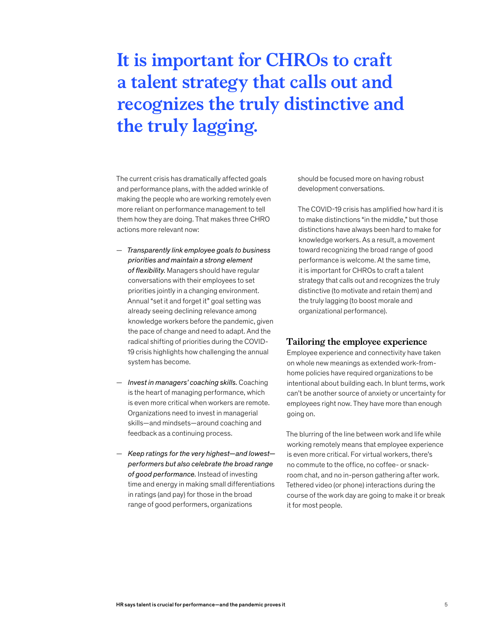## **It is important for CHROs to craft a talent strategy that calls out and recognizes the truly distinctive and the truly lagging.**

The current crisis has dramatically affected goals and performance plans, with the added wrinkle of making the people who are working remotely even more reliant on performance management to tell them how they are doing. That makes three CHRO actions more relevant now:

- *Transparently link employee goals to business priorities and maintain a strong element of flexibility.* Managers should have regular conversations with their employees to set priorities jointly in a changing environment. Annual "set it and forget it" goal setting was already seeing declining relevance among knowledge workers before the pandemic, given the pace of change and need to adapt. And the radical shifting of priorities during the COVID-19 crisis highlights how challenging the annual system has become.
- *Invest in managers' coaching skills.* Coaching is the heart of managing performance, which is even more critical when workers are remote. Organizations need to invest in managerial skills—and mindsets—around coaching and feedback as a continuing process.
- *Keep ratings for the very highest—and lowest performers but also celebrate the broad range of good performance.* Instead of investing time and energy in making small differentiations in ratings (and pay) for those in the broad range of good performers, organizations

should be focused more on having robust development conversations.

The COVID-19 crisis has amplified how hard it is to make distinctions "in the middle," but those distinctions have always been hard to make for knowledge workers. As a result, a movement toward recognizing the broad range of good performance is welcome. At the same time, it is important for CHROs to craft a talent strategy that calls out and recognizes the truly distinctive (to motivate and retain them) and the truly lagging (to boost morale and organizational performance).

### **Tailoring the employee experience**

Employee experience and connectivity have taken on whole new meanings as extended work-fromhome policies have required organizations to be intentional about building each. In blunt terms, work can't be another source of anxiety or uncertainty for employees right now. They have more than enough going on.

The blurring of the line between work and life while working remotely means that employee experience is even more critical. For virtual workers, there's no commute to the office, no coffee- or snackroom chat, and no in-person gathering after work. Tethered video (or phone) interactions during the course of the work day are going to make it or break it for most people.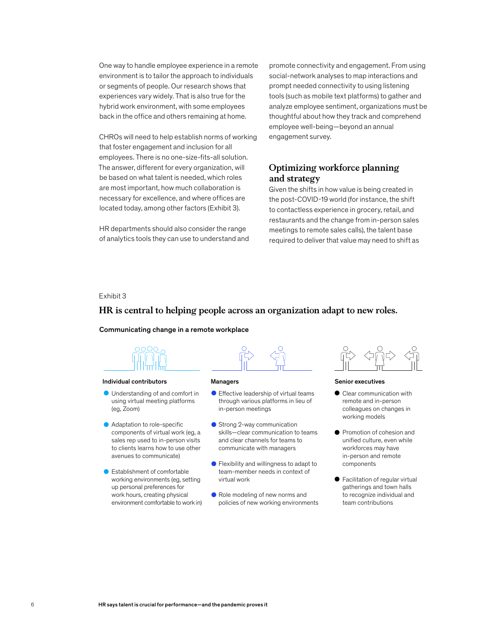One way to handle employee experience in a remote environment is to tailor the approach to individuals or segments of people. Our research shows that experiences vary widely. That is also true for the hybrid work environment, with some employees back in the office and others remaining at home.

CHROs will need to help establish norms of working that foster engagement and inclusion for all employees. There is no one-size-fits-all solution. The answer, different for every organization, will be based on what talent is needed, which roles are most important, how much collaboration is necessary for excellence, and where offices are located today, among other factors (Exhibit 3).

HR departments should also consider the range of analytics tools they can use to understand and

promote connectivity and engagement. From using social-network analyses to map interactions and prompt needed connectivity to using listening tools (such as mobile text platforms) to gather and analyze employee sentiment, organizations must be thoughtful about how they track and comprehend employee well-being—beyond an annual engagement survey.

### **Optimizing workforce planning and strategy**

Given the shifts in how value is being created in the post-COVID-19 world (for instance, the shift to contactless experience in grocery, retail, and restaurants and the change from in-person sales meetings to remote sales calls), the talent base required to deliver that value may need to shift as

### Exhibit 3  $E$ xhibit  $\sigma$

### HR is central to helping people across an organization adapt to new roles. **HR is central to helping people across an organization adapt to new roles.**

### Communicating change in a remote workplace



### **Individual contributors Managers Managers** Senior executives

- **O** Understanding of and comfort in using virtual meeting platforms (eg, Zoom)
- Adaptation to role-specific components of virtual work (eg, a sales rep used to in-person visits to clients learns how to use other avenues to communicate)
- Establishment of comfortable working environments (eg, setting up personal preferences for work hours, creating physical environment comfortable to work in)



- $\bullet$  Effective leadership of virtual teams through various platforms in lieu of in-person meetings
- Strong 2-way communication skills—clear communication to teams and clear channels for teams to communicate with managers
- Flexibility and willingness to adapt to team-member needs in context of virtual work
- Role modeling of new norms and policies of new working environments



- Clear communication with remote and in-person colleagues on changes in working models
- **Promotion of cohesion and** unified culture, even while workforces may have in-person and remote components
- Facilitation of regular virtual gatherings and town halls to recognize individual and team contributions